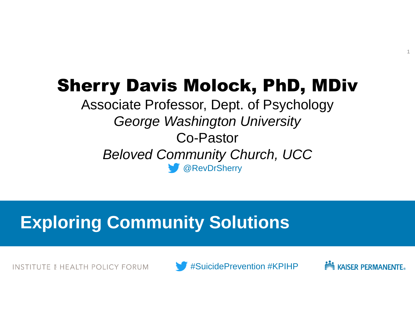# Sherry Davis Molock, PhD, MDiv

@RevDrSherry Associate Professor, Dept. of Psychology *George Washington University* Co-Pastor *Beloved Community Church, UCC*

# **Exploring Community Solutions**

INSTITUTE 6 HEALTH POLICY FORUM

#SuicidePrevention #KPIHP



1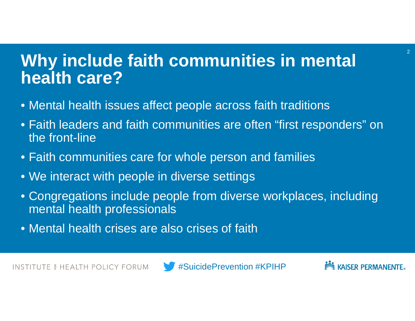## **Why include faith communities in mental health care?**

- Mental health issues affect people across faith traditions
- Faith leaders and faith communities are often "first responders" on the front-line
- Faith communities care for whole person and families
- We interact with people in diverse settings
- Congregations include people from diverse workplaces, including mental health professionals
- Mental health crises are also crises of faith



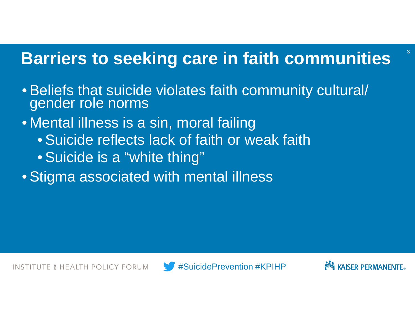#### **Barriers to seeking care in faith communities**

- Beliefs that suicide violates faith community cultural/ gender role norms
- Mental illness is a sin, moral failing
	- Suicide reflects lack of faith or weak faith
	- Suicide is a "white thing"
- Stigma associated with mental illness

3

**INSTITUTE & HEALTH POLICY FORUM** 



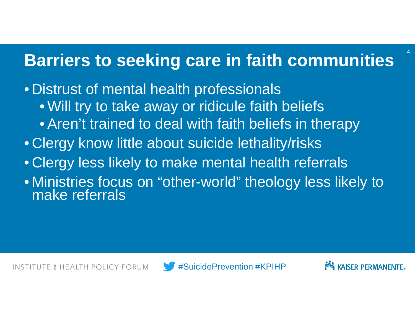### **Barriers to seeking care in faith communities**

• Distrust of mental health professionals • Will try to take away or ridicule faith beliefs • Aren't trained to deal with faith beliefs in therapy • Clergy know little about suicide lethality/risks • Clergy less likely to make mental health referrals • Ministries focus on "other-world" theology less likely to make referrals



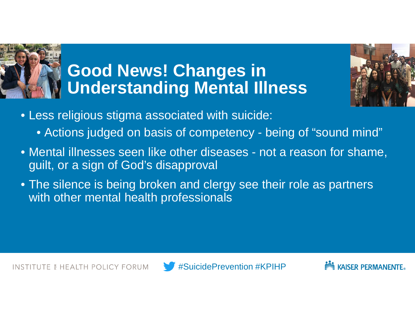

# **Good News! Changes in Understanding Mental Illness**



- Less religious stigma associated with suicide:
	- Actions judged on basis of competency being of "sound mind"
- Mental illnesses seen like other diseases not a reason for shame, guilt, or a sign of God's disapproval
- The silence is being broken and clergy see their role as partners with other mental health professionals



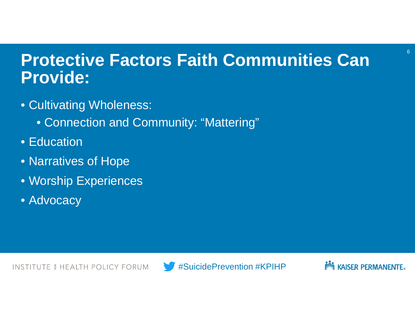## **Protective Factors Faith Communities Can Provide:**

- Cultivating Wholeness:
	- Connection and Community: "Mattering"
- Education
- Narratives of Hope
- Worship Experiences
- Advocacy



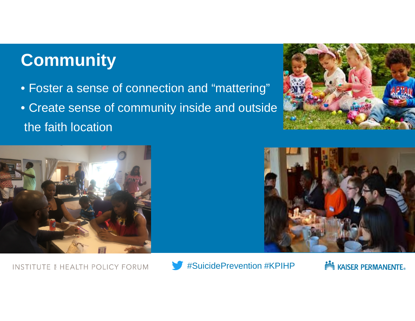# **Community**

- Foster a sense of connection and "mattering"
- Create sense of community inside and outside the faith location







**INSTITUTE & HEALTH POLICY FORUM** 



**NOW KAISER PERMANENTE.**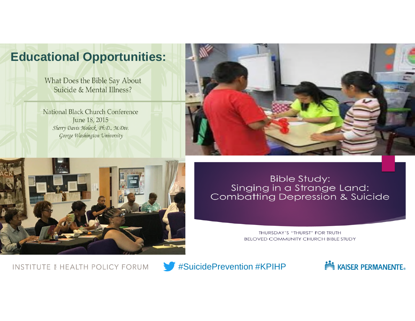#### **Educational Opportunities:**

What Does the Bible Say About Suicide & Mental Illness?

National Black Church Conference June 18, 2015 Sherry Davis Molock, Ph.D., M.Div. George Washington University





#### **Bible Study:** Singing in a Strange Land:<br>Combatting Depression & Suicide

THURSDAY'S "THURST" FOR TRUTH **BELOVED COMMUNITY CHURCH BIBLE STUDY** 

**INSTITUTE & HEALTH POLICY FORUM** 



#SuicidePrevention #KPIHP

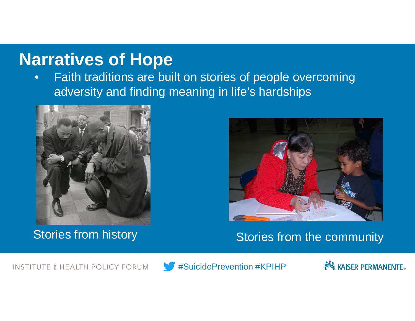#### **Narratives of Hope**

• Faith traditions are built on stories of people overcoming adversity and finding meaning in life's hardships





#### Stories from history Stories from the community

**INSTITUTE & HEALTH POLICY FORUM** 



#SuicidePrevention #KPIHP

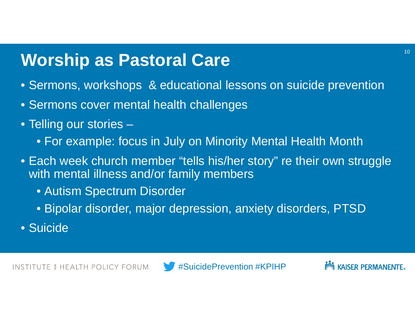# **Worship as Pastoral Care**

- Sermons, workshops & educational lessons on suicide prevention
- Sermons cover mental health challenges
- Telling our stories
	- For example: focus in July on Minority Mental Health Month
- Each week church member "tells his/her story" re their own struggle with mental illness and/or family members
	- Autism Spectrum Disorder
	- Bipolar disorder, major depression, anxiety disorders, PTSD
- Suicide



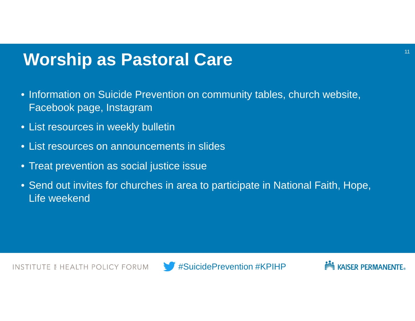### **Worship as Pastoral Care**

- Information on Suicide Prevention on community tables, church website, Facebook page, Instagram
- List resources in weekly bulletin
- List resources on announcements in slides
- Treat prevention as social justice issue
- Send out invites for churches in area to participate in National Faith, Hope, Life weekend



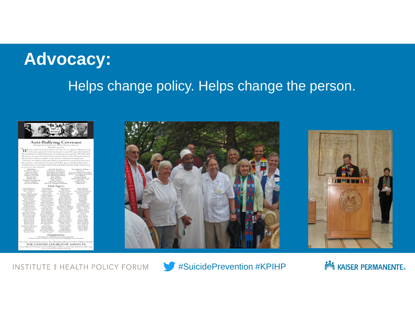## **Advocacy:**

#### Helps change policy. Helps change the person.



#### **Anti-Bullying Covenant**

A Channels and

| El Bolleter<br>Jesus Bray-Morro.<br><b>Julian Callin</b><br>Dylan Chandler<br>Delarery Cervelli<br>Charlie Fox<br>Riddey Fine<br>Halden Gerberding<br>Nicky Hughes<br>hasil Lairs-Straus                                                                                                                                                                                                                                                                                                                                                                                                                                                           | Natalie Maybum<br>Catherine Mel'hynald<br>Ben Michaels-Fallon<br>John Michaels-Fallon<br>Julia Michaels-Fallon<br>Ben Miller<br>Severa Noveman<br>Allie Netris<br>Olivia M. Oriega<br>Elena E. Ortega-Saunders                                                                                                                                                                                                                                                                                                                                                                                                                                                                                                                                            |                                                                                                                                                                                                                                                                                                                                                                                                                                                                                                                                                                                                                                                                                    | Evenpointe L. Orious-<br>Sales Limit<br>Oscaio L. Ortega-Saunder<br>Robert R. Ortega-Saunde<br>Aly Rabott<br>Sarah Raboff<br>Jordan Readyhough.<br>Jolo Sarr<br>Maclean Sarr<br>Abel Your |                                                                                                                                                                                                                                                                                                                                                                                                                                                                                                                                                                                           |
|----------------------------------------------------------------------------------------------------------------------------------------------------------------------------------------------------------------------------------------------------------------------------------------------------------------------------------------------------------------------------------------------------------------------------------------------------------------------------------------------------------------------------------------------------------------------------------------------------------------------------------------------------|-----------------------------------------------------------------------------------------------------------------------------------------------------------------------------------------------------------------------------------------------------------------------------------------------------------------------------------------------------------------------------------------------------------------------------------------------------------------------------------------------------------------------------------------------------------------------------------------------------------------------------------------------------------------------------------------------------------------------------------------------------------|------------------------------------------------------------------------------------------------------------------------------------------------------------------------------------------------------------------------------------------------------------------------------------------------------------------------------------------------------------------------------------------------------------------------------------------------------------------------------------------------------------------------------------------------------------------------------------------------------------------------------------------------------------------------------------|-------------------------------------------------------------------------------------------------------------------------------------------------------------------------------------------|-------------------------------------------------------------------------------------------------------------------------------------------------------------------------------------------------------------------------------------------------------------------------------------------------------------------------------------------------------------------------------------------------------------------------------------------------------------------------------------------------------------------------------------------------------------------------------------------|
|                                                                                                                                                                                                                                                                                                                                                                                                                                                                                                                                                                                                                                                    |                                                                                                                                                                                                                                                                                                                                                                                                                                                                                                                                                                                                                                                                                                                                                           | <b>Adult Signers</b>                                                                                                                                                                                                                                                                                                                                                                                                                                                                                                                                                                                                                                                               |                                                                                                                                                                                           |                                                                                                                                                                                                                                                                                                                                                                                                                                                                                                                                                                                           |
| <b>Coald Ambrovins</b><br><b>Lynne Andrews</b><br>Rev. Tatitlys 1:<br>Arruski<br>Adelerie Blankenship<br>James Ted Britister<br><b>JaAnn Balletin</b><br>Sarah Bolleter<br>Birttir Boundy<br>McGuna E. Bridge<br>John Brient<br>MaryBeth Beseri<br>Edith Brown<br>Margaret Burk.<br>Caroline Burnett<br>Col. Assetta Caryon.<br><b>FAIL 6 company</b><br>Canargia Carsers<br>Mary Less Cariers<br>John Cavanagh<br>Cyride Christie<br><b>Bob-Chyatat</b><br>Stamper C.Tuasiant<br>Downa Clark<br>Silisia bow C'haule.<br>Beth Clayton<br>Sudy Lorfun<br>Bribyn CoverDi-Hunt<br><b>Karen Davis</b><br>Kim Davis<br>Misliyard Davis<br>Kusareta Dill | Sharon Elian<br>Jerry Elliott<br><b>Earldown Fallon</b><br>Dave Feldt<br>Penny Feldt<br>Casil-B. Flandgian<br>Kathy Firms<br>Karen Freezout.<br>Sam Gerberding<br>Robert Glick<br>Andrea Hamilton<br>Maria Hamilton<br>Situations Elamidians<br>Larry Have<br><b>Engravelare Eletion</b><br>Tom, Hamrod<br>Rever Limited<br>Firic Historick<br>Diare: Hollweek<br>Family E. Hayner<br>Family 5. Hyde<br>Nikki Flarmida<br>Bonney Hughes<br>Elands, Elizabeter<br>Silicarción Envland.<br><b>Bure: Bearmhan Et.</b><br>federations<br><b>Benev-fution</b><br><b>Texas Bandalinek</b><br>Ned Kendrick<br>Key, Reger Knapp.<br>Limita Kruppe<br>Ghost Ranch . HaMakom Jewish Community<br>United Church of Santa Fe . Love God, Love Neighbor, Love Creation | <b>Millip Knuger</b><br>Lock Laire<br>David LaPlante<br>Eustone Law<br>Dr. Jennifer Manske<br><b>Lynn Mark</b><br>Aliman Marcusia<br>Karen Marvelli<br>Michael Maywell<br>Sherry Maxwell<br>Janet McAllister<br>Debra McElmy<br>Kasyye Maudor<br>Rev. James L. Mechemi<br>Relact Metnershipper<br>Walker A. Mondel<br><b>Bianti Affective</b><br>Dari Murray<br><b>Mary Neuman</b><br>Caroly-Nauris.<br>Frank Norris.<br>Christine Obum<br>Laura C. Oriesa<br>Nancy Paraskevin<br>Mogary Periditor<br><b>Kathy Pitter</b><br><b>Marketen Proper</b><br><b>Bearing Packette</b><br>Fred Outst<br>Marge Christ<br><b>Carulary Raboff</b><br><b>Patricia Racette</b><br>Organizations |                                                                                                                                                                                           | Cento Ramsey<br>Mick Rammer<br>Dr. Larry Rasmaner<br>Nyilla Rasorrizoneri<br>Maritta Reddy-<br>Fishmfelt<br><b>Gaye Reese</b><br>Fred Ribe<br>Margo Ribe<br><b>Bill Hittee</b><br>Pat Milter<br>Janis Rutschman<br>MaryBeilt Sarr<br>Lon L. Saunders<br>Vickle L. Sewing<br><b>Fanine Tiess</b><br>K.athleen's Strictly<br><b>Bev. Jean Anne</b><br>Swyanne<br>Kinn Straus<br><b>Harry Turrey</b><br>Jewe Turmer<br>Socia I. Madha<br>Natalio Wolls<br>John H. White<br><b>Litarian Wallistown</b><br>Arrest Mediterration<br>Bob William.<br>Nancy Witter<br>Alicia Welfe<br>Steve Viver |
| For more information contact Bev, Brandon Johnson or Rev. Talitha Arno                                                                                                                                                                                                                                                                                                                                                                                                                                                                                                                                                                             | THE UNITED CHURCH OF SANTA FE                                                                                                                                                                                                                                                                                                                                                                                                                                                                                                                                                                                                                                                                                                                             |                                                                                                                                                                                                                                                                                                                                                                                                                                                                                                                                                                                                                                                                                    |                                                                                                                                                                                           |                                                                                                                                                                                                                                                                                                                                                                                                                                                                                                                                                                                           |





**INSTITUTE & HEALTH POLICY FORUM** 



#SuicidePrevention #KPIHP

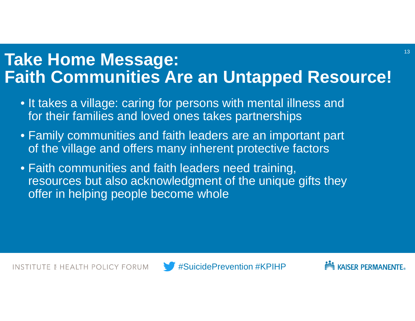### **Take Home Message: Faith Communities Are an Untapped Resource!**

- It takes a village: caring for persons with mental illness and for their families and loved ones takes partnerships
- Family communities and faith leaders are an important part of the village and offers many inherent protective factors
- Faith communities and faith leaders need training, resources but also acknowledgment of the unique gifts they offer in helping people become whole